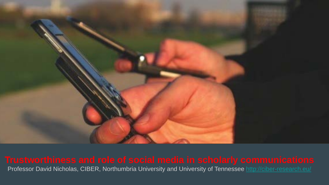

<u>CAR PURCHASE COMPARISON CAR PURCHASE COMPARING COMPARING</u>

# Professor David Nicholas, CIBER, Northumbria University and University of Tennessee <http://ciber-research.eu/>

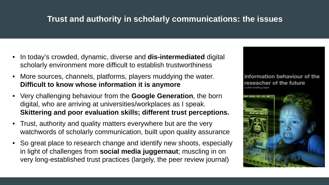# **Trust and authority in scholarly communications: the issues**

- In today's crowded, dynamic, diverse and **dis-intermediated** digital scholarly environment more difficult to establish trustworthiness
- More sources, channels, platforms, players muddying the water. **Difficult to know whose information it is anymore**
- Very challenging behaviour from the **Google Generation**, the born digital, who are arriving at universities/workplaces as I speak. **Skittering and poor evaluation skills; different trust perceptions.**
- Trust, authority and quality matters everywhere but are the very watchwords of scholarly communication, built upon quality assurance
- So great place to research change and identify new shoots, especially in light of challenges from **social media juggernaut**; muscling in on very long-established trust practices (largely, the peer review journal)

# reseacher of the future

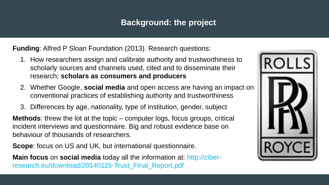### **Background: the project**

**Funding**: Alfred P Sloan Foundation (2013). Research questions:

- 1. How researchers assign and calibrate authority and trustworthiness to scholarly sources and channels used, cited and to disseminate their research; **scholars as consumers and producers**
- 2. Whether Google, **social media** and open access are having an impact on conventional practices of establishing authority and trustworthiness
- 3. Differences by age, nationality, type of institution, gender, subject

**Methods**: threw the lot at the topic – computer logs, focus groups, critical incident interviews and questionnaire. Big and robust evidence base on behaviour of thousands of researchers.

**Scope**: focus on US and UK, but international questionnaire.

**Main focus** on **social media** today all the information at: http://ciberresearch.eu/download/20140115-Trust\_Final\_Report.pdf

- 
- 
- 



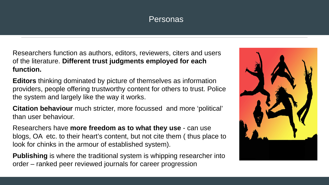#### Personas

- 
- 
- 
- 



![](_page_3_Picture_0.jpeg)

Researchers function as authors, editors, reviewers, citers and users of the literature. **Different trust judgments employed for each function.**

**Editors** thinking dominated by picture of themselves as information providers, people offering trustworthy content for others to trust. Police the system and largely like the way it works.

**Citation behaviour** much stricter, more focussed and more 'political' than user behaviour.

Researchers have **more freedom as to what they use** - can use blogs, OA etc. to their heart's content, but not cite them ( thus place to look for chinks in the armour of established system).

**Publishing** is where the traditional system is whipping researcher into order – ranked peer reviewed journals for career progression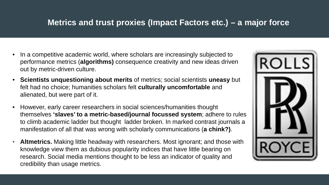### **Metrics and trust proxies (Impact Factors etc.) – a major force**

- In a competitive academic world, where scholars are increasingly subjected to performance metrics (**algorithms)** consequence creativity and new ideas driven out by metric-driven culture.
- **Scientists unquestioning about merits** of metrics; social scientists **uneasy** but felt had no choice; humanities scholars felt **culturally uncomfortable** and alienated, but were part of it.
- However, early career researchers in social sciences/humanities thought themselves **'slaves' to a metric-based/journal focussed system**; adhere to rules to climb academic ladder but thought ladder broken. In marked contrast journals a manifestation of all that was wrong with scholarly communications (**a chink?)**.
- **Altmetrics.** Making little headway with researchers. Most ignorant; and those with knowledge view them as dubious popularity indices that have little bearing on research. Social media mentions thought to be less an indicator of quality and credibility than usage metrics.

![](_page_4_Picture_5.jpeg)

![](_page_4_Picture_6.jpeg)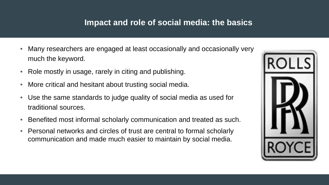# **Impact and role of social media: the basics**

- Many researchers are engaged at least occasionally and occasionally very much the keyword.
- Role mostly in usage, rarely in citing and publishing.
- More critical and hesitant about trusting social media.
- Use the same standards to judge quality of social media as used for traditional sources.
- Benefited most informal scholarly communication and treated as such.
- Personal networks and circles of trust are central to formal scholarly communication and made much easier to maintain by social media.

![](_page_5_Picture_7.jpeg)

![](_page_5_Picture_8.jpeg)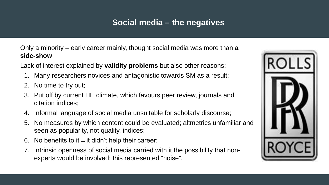### **Social media – the negatives**

Only a minority – early career mainly, thought social media was more than **a side-show**

- Lack of interest explained by **validity problems** but also other reasons: 1. Many researchers novices and antagonistic towards SM as a result;
	- 2. No time to try out;
	- 3. Put off by current HE climate, which favours peer review, journals and citation indices;
	- 4. Informal language of social media unsuitable for scholarly discourse; 5. No measures by which content could be evaluated; altmetrics unfamiliar and
	- seen as popularity, not quality, indices;
	- 6. No benefits to it ̶ it didn't help their career;
	- 7. Intrinsic openness of social media carried with it the possibility that nonexperts would be involved: this represented "noise".

![](_page_6_Picture_12.jpeg)

![](_page_6_Picture_13.jpeg)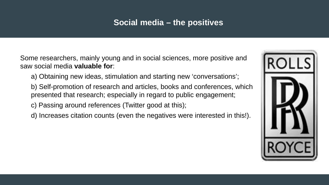### **Social media – the positives**

Some researchers, mainly young and in social sciences, more positive and saw social media **valuable for**:

- a) Obtaining new ideas, stimulation and starting new 'conversations';
- b) Self-promotion of research and articles, books and conferences, which presented that research; especially in regard to public engagement;
- c) Passing around references (Twitter good at this);
- d) Increases citation counts (even the negatives were interested in this!).

![](_page_7_Picture_7.jpeg)

![](_page_7_Picture_8.jpeg)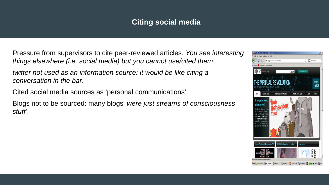#### **Citing social media**

![](_page_8_Picture_10.jpeg)

- Pressure from supervisors to cite peer-reviewed articles. *You see interesting things elsewhere (i.e. social media) but you cannot use/cited them*.
- *twitter not used as an information source: it would be like citing a conversation in the bar.*
- Cited social media sources as 'personal communications'
- Blogs not to be sourced: many blogs '*were just streams of consciousness stuff*'.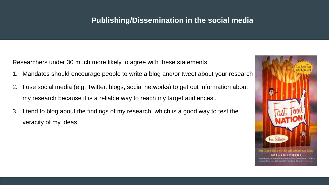#### **Publishing/Dissemination in the social media**

Researchers under 30 much more likely to agree with these statements:

- Mandates should encourage people to write a blog and/or tweet about your research
- 2. I use social media (e.g. Twitter, blogs, social networks) to get out information about my research because it is a reliable way to reach my target audiences..
- 3. I tend to blog about the findings of my research, which is a good way to test the veracity of my ideas.

![](_page_9_Picture_6.jpeg)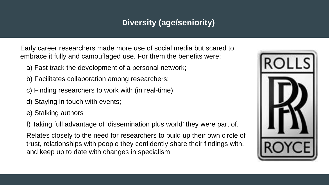# **Diversity (age/seniority)**

Early career researchers made more use of social media but scared to embrace it fully and camouflaged use. For them the benefits were:

- a) Fast track the development of a personal network;
- b) Facilitates collaboration among researchers;
- c) Finding researchers to work with (in real-time);
- d) Staying in touch with events;
- e) Stalking authors
- f) Taking full advantage of 'dissemination plus world' they were part of.

Relates closely to the need for researchers to build up their own circle of trust, relationships with people they confidently share their findings with, and keep up to date with changes in specialism

![](_page_10_Picture_11.jpeg)

![](_page_10_Picture_12.jpeg)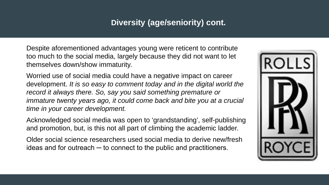### **Diversity (age/seniority) cont.**

Despite aforementioned advantages young were reticent to contribute too much to the social media, largely because they did not want to let themselves down/show immaturity.

Older social science researchers used social media to derive new/fresh ideas and for outreach  $-$  to connect to the public and practitioners.

![](_page_11_Picture_5.jpeg)

![](_page_11_Picture_6.jpeg)

Worried use of social media could have a negative impact on career development. *It is so easy to comment today and in the digital world the*  record it always there. So, say you said something premature or immature twenty years ago, it could come back and bite you at a crucial *time in your career development.*

Acknowledged social media was open to 'grandstanding', self-publishing and promotion, but, is this not all part of climbing the academic ladder.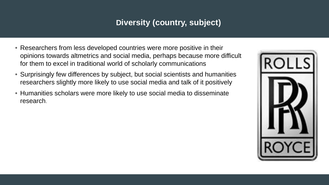# **Diversity (country, subject)**

![](_page_12_Picture_5.jpeg)

![](_page_12_Picture_6.jpeg)

![](_page_12_Picture_0.jpeg)

- Researchers from less developed countries were more positive in their opinions towards altmetrics and social media, perhaps because more difficult for them to excel in traditional world of scholarly communications
- Surprisingly few differences by subject, but social scientists and humanities researchers slightly more likely to use social media and talk of it positively
- Humanities scholars were more likely to use social media to disseminate research.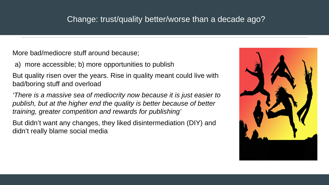### Change: trust/quality better/worse than a decade ago?

![](_page_13_Picture_8.jpeg)

![](_page_13_Picture_9.jpeg)

More bad/mediocre stuff around because;

a) more accessible; b) more opportunities to publish

But quality risen over the years. Rise in quality meant could live with bad/boring stuff and overload

*'There is a massive sea of mediocrity now because it is just easier to publish, but at the higher end the quality is better because of better training, greater competition and rewards for publishing'*

But didn't want any changes, they liked disintermediation (DIY) and didn't really blame social media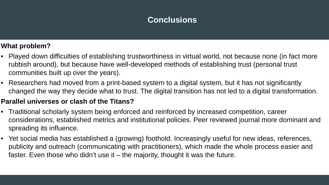#### **What problem?**

- Played down difficulties of establishing trustworthiness in virtual world, not because none (in fact more rubbish around), but because have well-developed methods of establishing trust (personal trust communities built up over the years).
- Researchers had moved from a print-based system to a digital system, but it has not significantly changed the way they decide what to trust. The digital transition has not led to a digital transformation.

#### **Parallel universes or clash of the Titans?**

- Traditional scholarly system being enforced and reinforced by increased competition, career considerations, established metrics and institutional policies. Peer reviewed journal more dominant and spreading its influence.
- Yet social media has established a (growing) foothold. Increasingly useful for new ideas, references, publicity and outreach (communicating with practitioners), which made the whole process easier and faster. Even those who didn't use it – the majority, thought it was the future.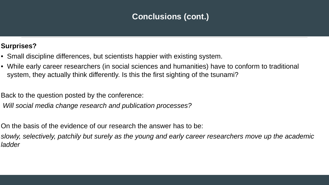# **Conclusions (cont.)**

#### **Surprises?**

- Small discipline differences, but scientists happier with existing system.
- While early career researchers (in social sciences and humanities) have to conform to traditional system, they actually think differently. Is this the first sighting of the tsunami?
- Back to the question posted by the conference: *Will social media change research and publication processes?*
- On the basis of the evidence of our research the answer has to be: *slowly, selectively, patchily but surely as the young and early career researchers move up the academic ladder*

![](_page_15_Picture_6.jpeg)